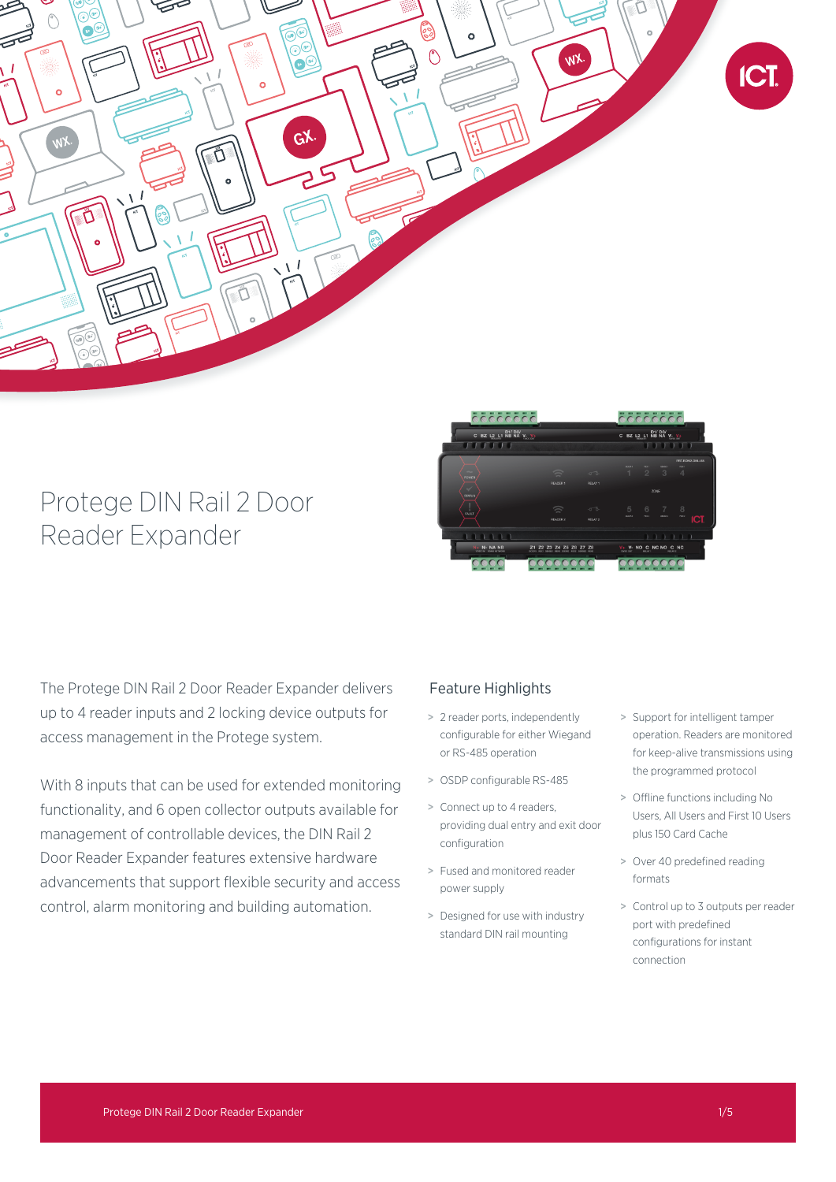

# Protege DIN Rail 2 Door Reader Expander



The Protege DIN Rail 2 Door Reader Expander delivers up to 4 reader inputs and 2 locking device outputs for access management in the Protege system.

With 8 inputs that can be used for extended monitoring functionality, and 6 open collector outputs available for management of controllable devices, the DIN Rail 2 Door Reader Expander features extensive hardware advancements that support flexible security and access control, alarm monitoring and building automation.

# Feature Highlights

- > 2 reader ports, independently configurable for either Wiegand or RS-485 operation
- > OSDP configurable RS-485
- > Connect up to 4 readers, providing dual entry and exit door configuration
- > Fused and monitored reader power supply
- > Designed for use with industry standard DIN rail mounting
- > Support for intelligent tamper operation. Readers are monitored for keep-alive transmissions using the programmed protocol
- > Offline functions including No Users, All Users and First 10 Users plus 150 Card Cache
- > Over 40 predefined reading formats
- > Control up to 3 outputs per reader port with predefined configurations for instant connection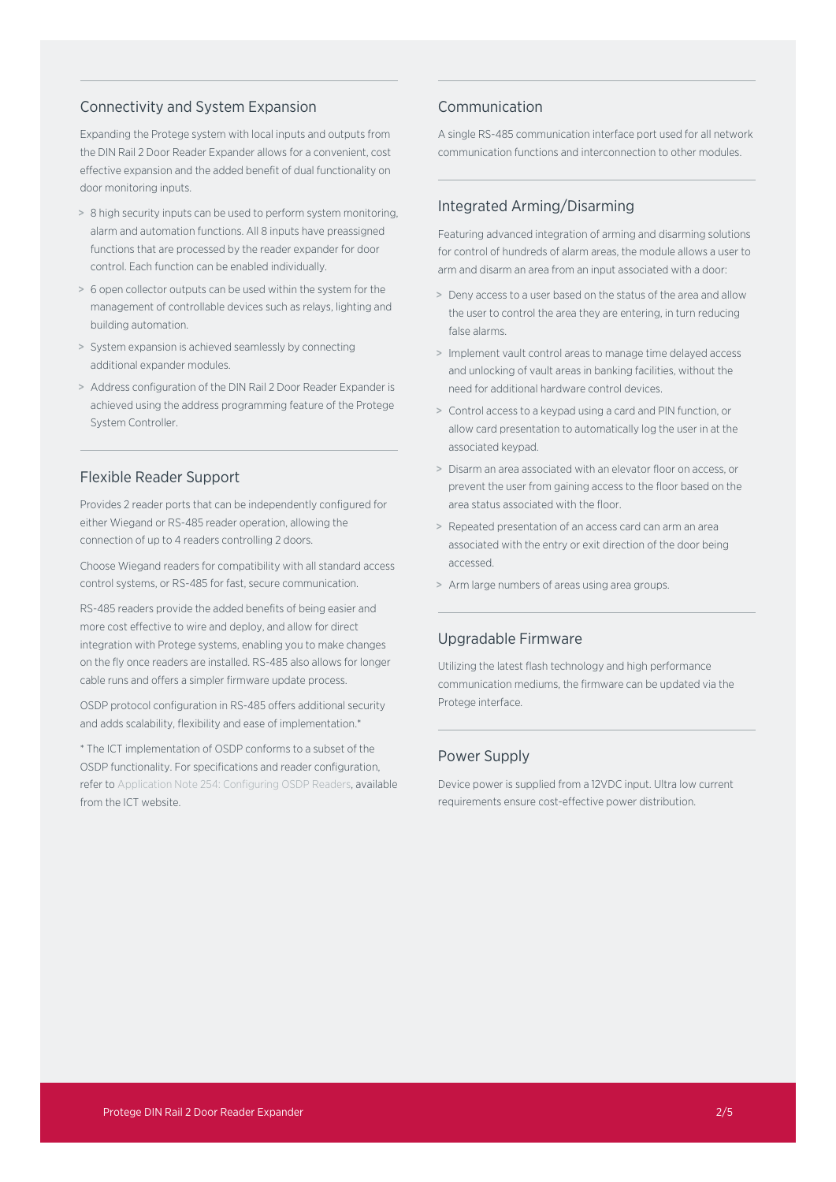## Connectivity and System Expansion

Expanding the Protege system with local inputs and outputs from the DIN Rail 2 Door Reader Expander allows for a convenient, cost effective expansion and the added benefit of dual functionality on door monitoring inputs.

- > 8 high security inputs can be used to perform system monitoring, alarm and automation functions. All 8 inputs have preassigned functions that are processed by the reader expander for door control. Each function can be enabled individually.
- > 6 open collector outputs can be used within the system for the management of controllable devices such as relays, lighting and building automation.
- > System expansion is achieved seamlessly by connecting additional expander modules.
- > Address configuration of the DIN Rail 2 Door Reader Expander is achieved using the address programming feature of the Protege System Controller.

### Flexible Reader Support

Provides 2 reader ports that can be independently configured for either Wiegand or RS-485 reader operation, allowing the connection of up to 4 readers controlling 2 doors.

Choose Wiegand readers for compatibility with all standard access control systems, or RS-485 for fast, secure communication.

RS-485 readers provide the added benefits of being easier and more cost effective to wire and deploy, and allow for direct integration with Protege systems, enabling you to make changes on the fly once readers are installed. RS-485 also allows for longer cable runs and offers a simpler firmware update process.

OSDP protocol configuration in RS-485 offers additional security and adds scalability, flexibility and ease of implementation.\*

\* The ICT implementation of OSDP conforms to a subset of the OSDP functionality. For specifications and reader configuration, refer to Application Note 254: Configuring OSDP Readers, available from the ICT website.

## Communication

A single RS-485 communication interface port used for all network communication functions and interconnection to other modules.

## Integrated Arming/Disarming

Featuring advanced integration of arming and disarming solutions for control of hundreds of alarm areas, the module allows a user to arm and disarm an area from an input associated with a door:

- > Deny access to a user based on the status of the area and allow the user to control the area they are entering, in turn reducing false alarms.
- > Implement vault control areas to manage time delayed access and unlocking of vault areas in banking facilities, without the need for additional hardware control devices.
- > Control access to a keypad using a card and PIN function, or allow card presentation to automatically log the user in at the associated keypad.
- > Disarm an area associated with an elevator floor on access, or prevent the user from gaining access to the floor based on the area status associated with the floor.
- > Repeated presentation of an access card can arm an area associated with the entry or exit direction of the door being accessed.
- > Arm large numbers of areas using area groups.

## Upgradable Firmware

Utilizing the latest flash technology and high performance communication mediums, the firmware can be updated via the Protege interface.

## Power Supply

Device power is supplied from a 12VDC input. Ultra low current requirements ensure cost-effective power distribution.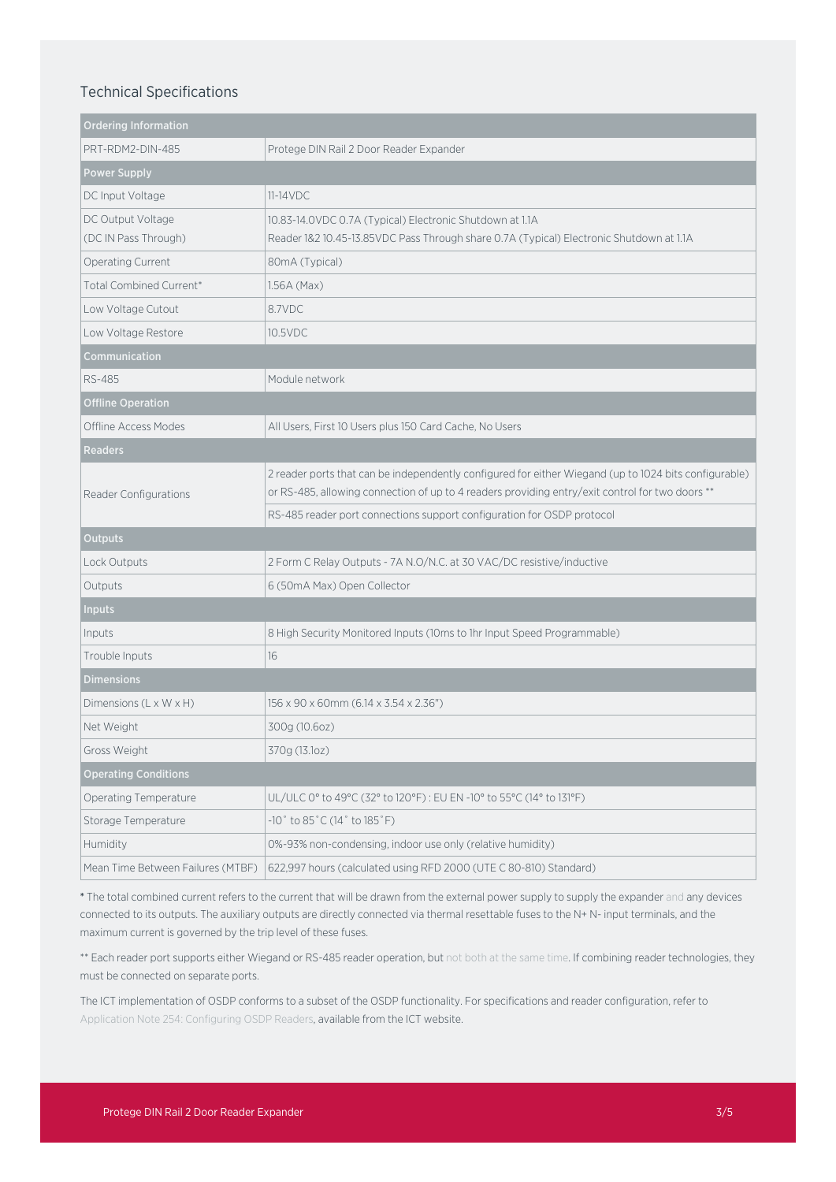## Technical Specifications

| <b>Ordering Information</b>               |                                                                                                                                                                                                          |
|-------------------------------------------|----------------------------------------------------------------------------------------------------------------------------------------------------------------------------------------------------------|
| PRT-RDM2-DIN-485                          | Protege DIN Rail 2 Door Reader Expander                                                                                                                                                                  |
| <b>Power Supply</b>                       |                                                                                                                                                                                                          |
| DC Input Voltage                          | $11-14VDC$                                                                                                                                                                                               |
| DC Output Voltage<br>(DC IN Pass Through) | 10.83-14.0VDC 0.7A (Typical) Electronic Shutdown at 1.1A<br>Reader 1&2 10.45-13.85VDC Pass Through share 0.7A (Typical) Electronic Shutdown at 1.1A                                                      |
| Operating Current                         | 80mA (Typical)                                                                                                                                                                                           |
| Total Combined Current*                   | 1.56A (Max)                                                                                                                                                                                              |
| Low Voltage Cutout                        | 8.7VDC                                                                                                                                                                                                   |
| Low Voltage Restore                       | 10.5VDC                                                                                                                                                                                                  |
| Communication                             |                                                                                                                                                                                                          |
| <b>RS-485</b>                             | Module network                                                                                                                                                                                           |
| <b>Offline Operation</b>                  |                                                                                                                                                                                                          |
| Offline Access Modes                      | All Users, First 10 Users plus 150 Card Cache, No Users                                                                                                                                                  |
| <b>Readers</b>                            |                                                                                                                                                                                                          |
| Reader Configurations                     | 2 reader ports that can be independently configured for either Wiegand (up to 1024 bits configurable)<br>or RS-485, allowing connection of up to 4 readers providing entry/exit control for two doors ** |
|                                           | RS-485 reader port connections support configuration for OSDP protocol                                                                                                                                   |
| <b>Outputs</b>                            |                                                                                                                                                                                                          |
| Lock Outputs                              | 2 Form C Relay Outputs - 7A N.O/N.C. at 30 VAC/DC resistive/inductive                                                                                                                                    |
| Outputs                                   | 6 (50mA Max) Open Collector                                                                                                                                                                              |
| <b>Inputs</b>                             |                                                                                                                                                                                                          |
| Inputs                                    | 8 High Security Monitored Inputs (10ms to 1hr Input Speed Programmable)                                                                                                                                  |
| Trouble Inputs                            | 16                                                                                                                                                                                                       |
| <b>Dimensions</b>                         |                                                                                                                                                                                                          |
| Dimensions (L x W x H)                    | 156 x 90 x 60mm (6.14 x 3.54 x 2.36")                                                                                                                                                                    |
| Net Weight                                | 300g (10.6oz)                                                                                                                                                                                            |
| Gross Weight                              | 370g (13.1oz)                                                                                                                                                                                            |
| <b>Operating Conditions</b>               |                                                                                                                                                                                                          |
| <b>Operating Temperature</b>              | UL/ULC 0° to 49°C (32° to 120°F): EU EN -10° to 55°C (14° to 131°F)                                                                                                                                      |
| Storage Temperature                       | $-10^{\circ}$ to 85 $^{\circ}$ C (14 $^{\circ}$ to 185 $^{\circ}$ F)                                                                                                                                     |
| Humidity                                  | 0%-93% non-condensing, indoor use only (relative humidity)                                                                                                                                               |
| Mean Time Between Failures (MTBF)         | 622,997 hours (calculated using RFD 2000 (UTE C 80-810) Standard)                                                                                                                                        |

\* The total combined current refers to the current that will be drawn from the external power supply to supply the expander and any devices connected to its outputs. The auxiliary outputs are directly connected via thermal resettable fuses to the N+ N- input terminals, and the maximum current is governed by the trip level of these fuses.

\*\* Each reader port supports either Wiegand or RS-485 reader operation, but not both at the same time. If combining reader technologies, they must be connected on separate ports.

The ICT implementation of OSDP conforms to a subset of the OSDP functionality. For specifications and reader configuration, refer to Application Note 254: Configuring OSDP Readers, available from the ICT website.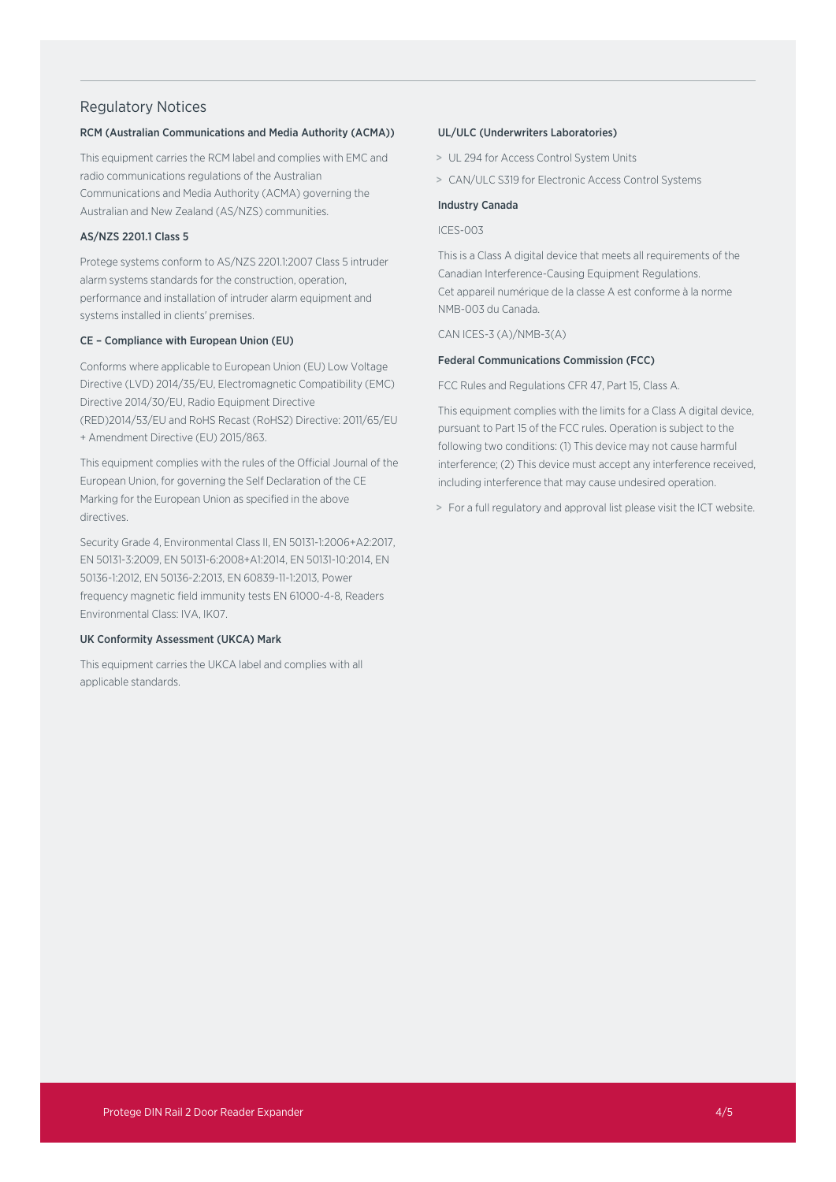## Regulatory Notices

#### RCM (Australian Communications and Media Authority (ACMA))

This equipment carries the RCM label and complies with EMC and radio communications regulations of the Australian Communications and Media Authority (ACMA) governing the Australian and New Zealand (AS/NZS) communities.

## AS/NZS 2201.1 Class 5

Protege systems conform to AS/NZS 2201.1:2007 Class 5 intruder alarm systems standards for the construction, operation, performance and installation of intruder alarm equipment and systems installed in clients' premises.

#### CE – Compliance with European Union (EU)

Conforms where applicable to European Union (EU) Low Voltage Directive (LVD) 2014/35/EU, Electromagnetic Compatibility (EMC) Directive 2014/30/EU, Radio Equipment Directive (RED)2014/53/EU and RoHS Recast (RoHS2) Directive: 2011/65/EU + Amendment Directive (EU) 2015/863.

This equipment complies with the rules of the Official Journal of the European Union, for governing the Self Declaration of the CE Marking for the European Union as specified in the above directives.

Security Grade 4, Environmental Class II, EN 50131-1:2006+A2:2017, EN 50131-3:2009, EN 50131-6:2008+A1:2014, EN 50131-10:2014, EN 50136-1:2012, EN 50136-2:2013, EN 60839-11-1:2013, Power frequency magnetic field immunity tests EN 61000-4-8, Readers Environmental Class: IVA, IK07.

#### UK Conformity Assessment (UKCA) Mark

This equipment carries the UKCA label and complies with all applicable standards.

#### UL/ULC (Underwriters Laboratories)

- > UL 294 for Access Control System Units
- > CAN/ULC S319 for Electronic Access Control Systems

#### Industry Canada

ICES-003

This is a Class A digital device that meets all requirements of the Canadian Interference-Causing Equipment Regulations. Cet appareil numérique de la classe A est conforme à la norme NMB-003 du Canada.

CAN ICES-3 (A)/NMB-3(A)

#### Federal Communications Commission (FCC)

FCC Rules and Regulations CFR 47, Part 15, Class A.

This equipment complies with the limits for a Class A digital device, pursuant to Part 15 of the FCC rules. Operation is subject to the following two conditions: (1) This device may not cause harmful interference; (2) This device must accept any interference received, including interference that may cause undesired operation.

> For a full regulatory and approval list please visit the ICT website.